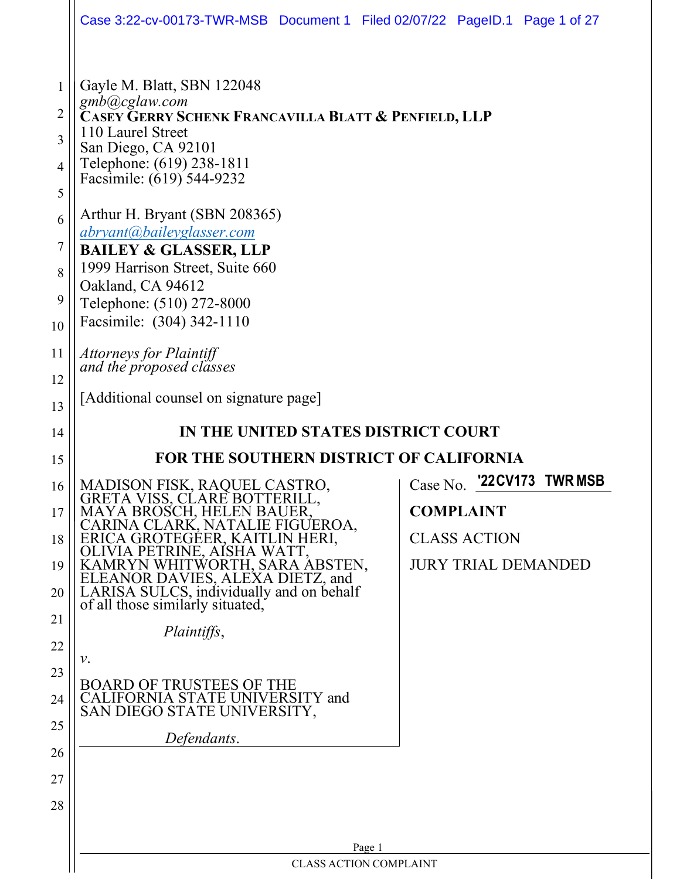|                                                              | Case 3:22-cv-00173-TWR-MSB Document 1 Filed 02/07/22 PageID.1 Page 1 of 27                                                                                                                                                                                                                                                                                                                                                                                             |                                                                                                                 |
|--------------------------------------------------------------|------------------------------------------------------------------------------------------------------------------------------------------------------------------------------------------------------------------------------------------------------------------------------------------------------------------------------------------------------------------------------------------------------------------------------------------------------------------------|-----------------------------------------------------------------------------------------------------------------|
| 1<br>2<br>3<br>$\overline{4}$<br>5<br>6<br>7<br>8<br>9<br>10 | Gayle M. Blatt, SBN 122048<br>gmb@cglaw.com<br>Casey Gerry Schenk Francavilla Blatt & Penfield, LLP<br>110 Laurel Street<br>San Diego, CA 92101<br>Telephone: (619) 238-1811<br>Facsimile: (619) 544-9232<br>Arthur H. Bryant (SBN 208365)<br>abryant@baileyglasser.com<br><b>BAILEY &amp; GLASSER, LLP</b><br>1999 Harrison Street, Suite 660<br>Oakland, CA 94612<br>Telephone: (510) 272-8000<br>Facsimile: (304) 342-1110                                          |                                                                                                                 |
| 11<br>12                                                     | Attorneys for Plaintiff<br>and the proposed classes                                                                                                                                                                                                                                                                                                                                                                                                                    |                                                                                                                 |
| 13                                                           | [Additional counsel on signature page]                                                                                                                                                                                                                                                                                                                                                                                                                                 |                                                                                                                 |
| 14                                                           | IN THE UNITED STATES DISTRICT COURT                                                                                                                                                                                                                                                                                                                                                                                                                                    |                                                                                                                 |
| 15                                                           | <b>FOR THE SOUTHERN DISTRICT OF CALIFORNIA</b>                                                                                                                                                                                                                                                                                                                                                                                                                         |                                                                                                                 |
| 16<br>17<br>18<br>19<br>20<br>21<br>22<br>23<br>24<br>25     | MADISON FISK, RAQUEL CASTRO,<br>GRETA VISS, CLARE BOTTERILL,<br>MAYA BROSCH, HELEN BAUER,<br>CARINA CLARK, NATALIE FIGUEROA,<br>ERICA GROTEGEER, KAITLIN HERI,<br>OLIVIA PETRINE, AÍSHA WATT,<br>KAMRYN WHITWORTH, SARA ABSTEN,<br>ELEANOR DAVIES, ALEXA DIETZ, and<br>LARISA SULCS, individually and on behalf<br>of all those similarly situated,<br>Plaintiffs,<br>ν.<br>BOARD OF TRUSTEES OF THE<br>CALIFORNIA STATE UNIVERSITY and<br>SAN DIEGO STATE UNIVERSITY, | '22CV173<br><b>TWR MSB</b><br>Case No.<br><b>COMPLAINT</b><br><b>CLASS ACTION</b><br><b>JURY TRIAL DEMANDED</b> |
| 26<br>27<br>28                                               | Defendants.                                                                                                                                                                                                                                                                                                                                                                                                                                                            |                                                                                                                 |
|                                                              | Page 1<br><b>CLASS ACTION COMPLAINT</b>                                                                                                                                                                                                                                                                                                                                                                                                                                |                                                                                                                 |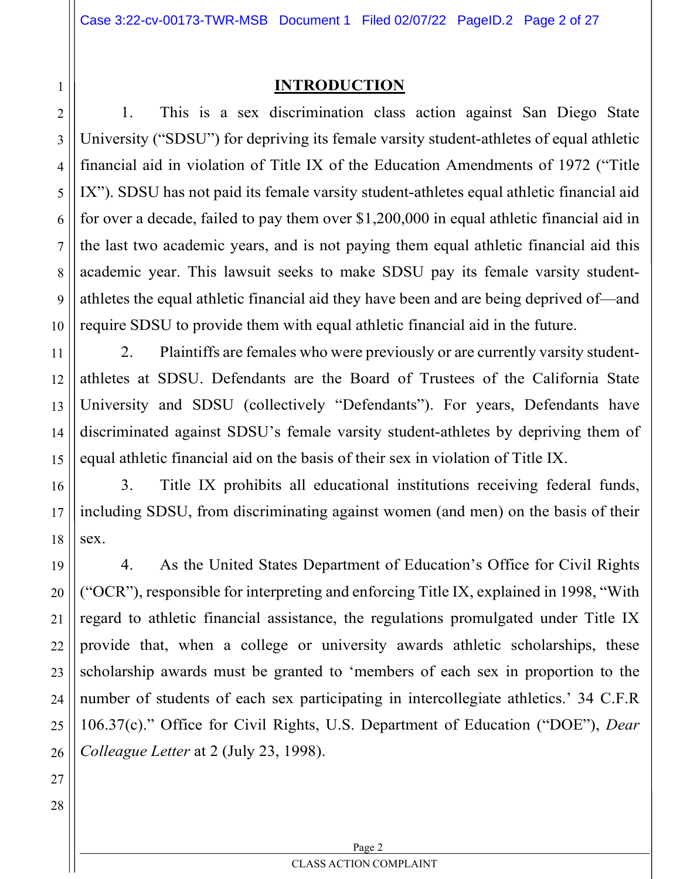#### INTRODUCTION

1. This is a sex discrimination class action against San Diego State University ("SDSU") for depriving its female varsity student-athletes of equal athletic financial aid in violation of Title IX of the Education Amendments of 1972 ("Title IX"). SDSU has not paid its female varsity student-athletes equal athletic financial aid for over a decade, failed to pay them over \$1,200,000 in equal athletic financial aid in the last two academic years, and is not paying them equal athletic financial aid this academic year. This lawsuit seeks to make SDSU pay its female varsity studentathletes the equal athletic financial aid they have been and are being deprived of—and require SDSU to provide them with equal athletic financial aid in the future.

2. Plaintiffs are females who were previously or are currently varsity studentathletes at SDSU. Defendants are the Board of Trustees of the California State University and SDSU (collectively "Defendants"). For years, Defendants have discriminated against SDSU's female varsity student-athletes by depriving them of equal athletic financial aid on the basis of their sex in violation of Title IX.

3. Title IX prohibits all educational institutions receiving federal funds, including SDSU, from discriminating against women (and men) on the basis of their sex.

4. As the United States Department of Education's Office for Civil Rights ("OCR"), responsible for interpreting and enforcing Title IX, explained in 1998, "With regard to athletic financial assistance, the regulations promulgated under Title IX provide that, when a college or university awards athletic scholarships, these scholarship awards must be granted to 'members of each sex in proportion to the number of students of each sex participating in intercollegiate athletics.' 34 C.F.R 106.37(c)." Office for Civil Rights, U.S. Department of Education ("DOE"), Dear Colleague Letter at 2 (July 23, 1998).

28

1

2

3

4

5

6

7

8

9

10

11

12

13

14

15

16

17

18

19

20

21

22

23

Page 2 CLASS ACTION COMPLAINT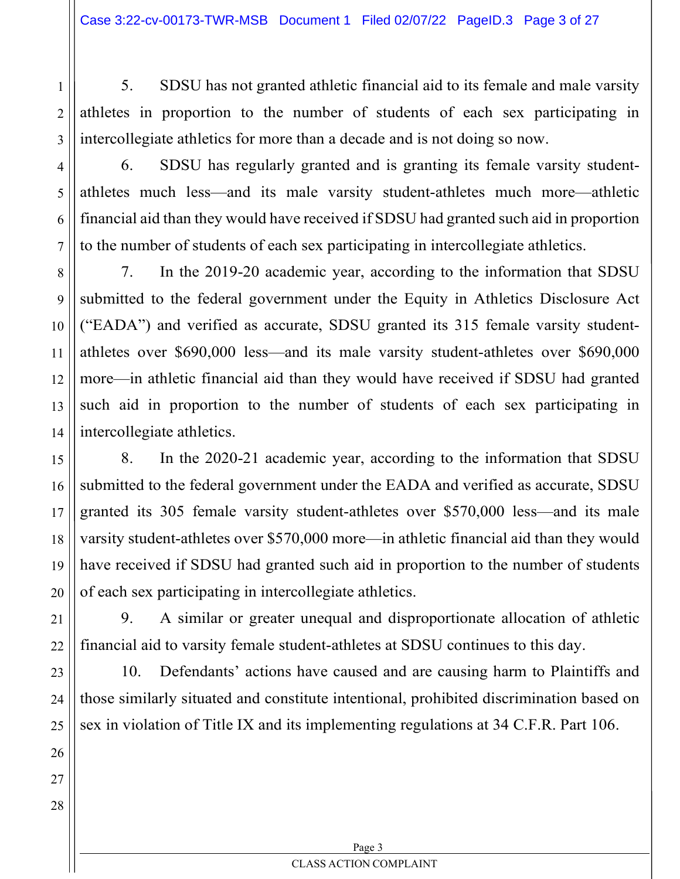5. SDSU has not granted athletic financial aid to its female and male varsity athletes in proportion to the number of students of each sex participating in intercollegiate athletics for more than a decade and is not doing so now.

3 4

5

6

7

8

1

2

6. SDSU has regularly granted and is granting its female varsity studentathletes much less—and its male varsity student-athletes much more—athletic financial aid than they would have received if SDSU had granted such aid in proportion to the number of students of each sex participating in intercollegiate athletics.

7. In the 2019-20 academic year, according to the information that SDSU submitted to the federal government under the Equity in Athletics Disclosure Act ("EADA") and verified as accurate, SDSU granted its 315 female varsity studentathletes over \$690,000 less—and its male varsity student-athletes over \$690,000 more—in athletic financial aid than they would have received if SDSU had granted such aid in proportion to the number of students of each sex participating in intercollegiate athletics.

8. In the 2020-21 academic year, according to the information that SDSU submitted to the federal government under the EADA and verified as accurate, SDSU granted its 305 female varsity student-athletes over \$570,000 less—and its male varsity student-athletes over \$570,000 more—in athletic financial aid than they would have received if SDSU had granted such aid in proportion to the number of students of each sex participating in intercollegiate athletics.

9. A similar or greater unequal and disproportionate allocation of athletic financial aid to varsity female student-athletes at SDSU continues to this day.

10. Defendants' actions have caused and are causing harm to Plaintiffs and those similarly situated and constitute intentional, prohibited discrimination based on sex in violation of Title IX and its implementing regulations at 34 C.F.R. Part 106.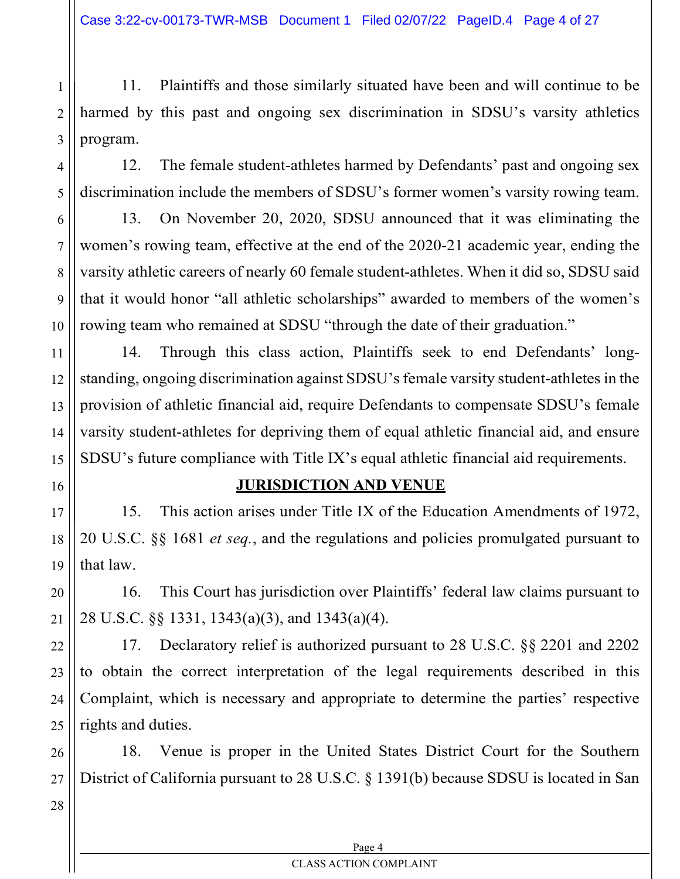1 2 3 11. Plaintiffs and those similarly situated have been and will continue to be harmed by this past and ongoing sex discrimination in SDSU's varsity athletics program.

12. The female student-athletes harmed by Defendants' past and ongoing sex discrimination include the members of SDSU's former women's varsity rowing team.

13. On November 20, 2020, SDSU announced that it was eliminating the women's rowing team, effective at the end of the 2020-21 academic year, ending the varsity athletic careers of nearly 60 female student-athletes. When it did so, SDSU said that it would honor "all athletic scholarships" awarded to members of the women's rowing team who remained at SDSU "through the date of their graduation."

14. Through this class action, Plaintiffs seek to end Defendants' longstanding, ongoing discrimination against SDSU's female varsity student-athletes in the provision of athletic financial aid, require Defendants to compensate SDSU's female varsity student-athletes for depriving them of equal athletic financial aid, and ensure SDSU's future compliance with Title IX's equal athletic financial aid requirements.

16

4

5

6

7

8

9

10

11

12

13

14

15

17

18

19

20

21

22

23

24

25

#### JURISDICTION AND VENUE

15. This action arises under Title IX of the Education Amendments of 1972, 20 U.S.C. §§ 1681 et seq., and the regulations and policies promulgated pursuant to that law.

16. This Court has jurisdiction over Plaintiffs' federal law claims pursuant to 28 U.S.C. §§ 1331, 1343(a)(3), and 1343(a)(4).

17. Declaratory relief is authorized pursuant to 28 U.S.C. §§ 2201 and 2202 to obtain the correct interpretation of the legal requirements described in this Complaint, which is necessary and appropriate to determine the parties' respective rights and duties.

26 18. Venue is proper in the United States District Court for the Southern District of California pursuant to 28 U.S.C. § 1391(b) because SDSU is located in San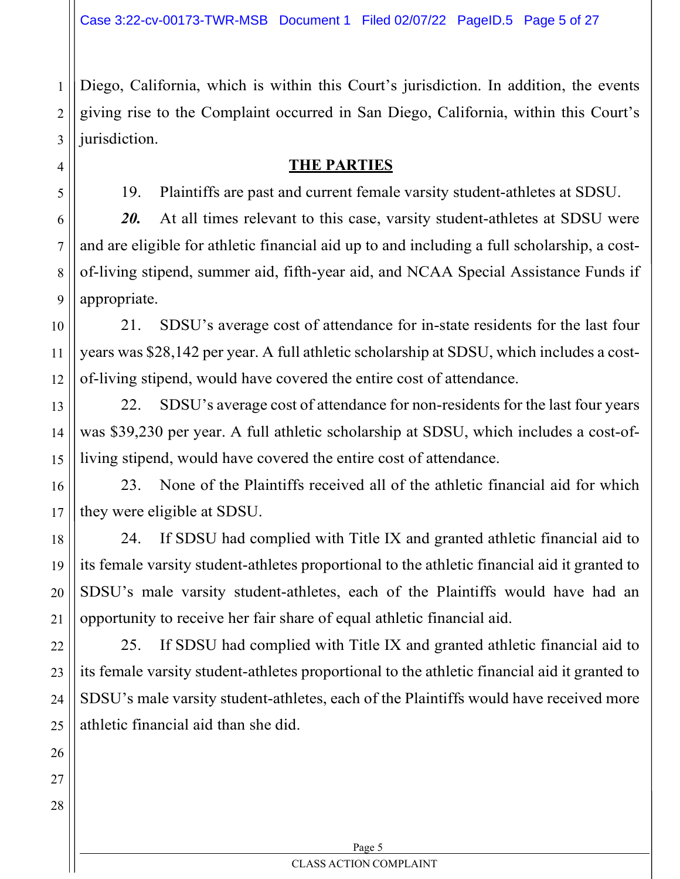Diego, California, which is within this Court's jurisdiction. In addition, the events giving rise to the Complaint occurred in San Diego, California, within this Court's jurisdiction.

## THE PARTIES

19. Plaintiffs are past and current female varsity student-athletes at SDSU.

20. At all times relevant to this case, varsity student-athletes at SDSU were and are eligible for athletic financial aid up to and including a full scholarship, a costof-living stipend, summer aid, fifth-year aid, and NCAA Special Assistance Funds if appropriate.

21. SDSU's average cost of attendance for in-state residents for the last four years was \$28,142 per year. A full athletic scholarship at SDSU, which includes a costof-living stipend, would have covered the entire cost of attendance.

22. SDSU's average cost of attendance for non-residents for the last four years was \$39,230 per year. A full athletic scholarship at SDSU, which includes a cost-ofliving stipend, would have covered the entire cost of attendance.

23. None of the Plaintiffs received all of the athletic financial aid for which they were eligible at SDSU.

24. If SDSU had complied with Title IX and granted athletic financial aid to its female varsity student-athletes proportional to the athletic financial aid it granted to SDSU's male varsity student-athletes, each of the Plaintiffs would have had an opportunity to receive her fair share of equal athletic financial aid.

25. If SDSU had complied with Title IX and granted athletic financial aid to its female varsity student-athletes proportional to the athletic financial aid it granted to SDSU's male varsity student-athletes, each of the Plaintiffs would have received more athletic financial aid than she did.

1

2

3

4

5

6

7

8

9

10

11

12

13

14

15

16

17

18

19

20

21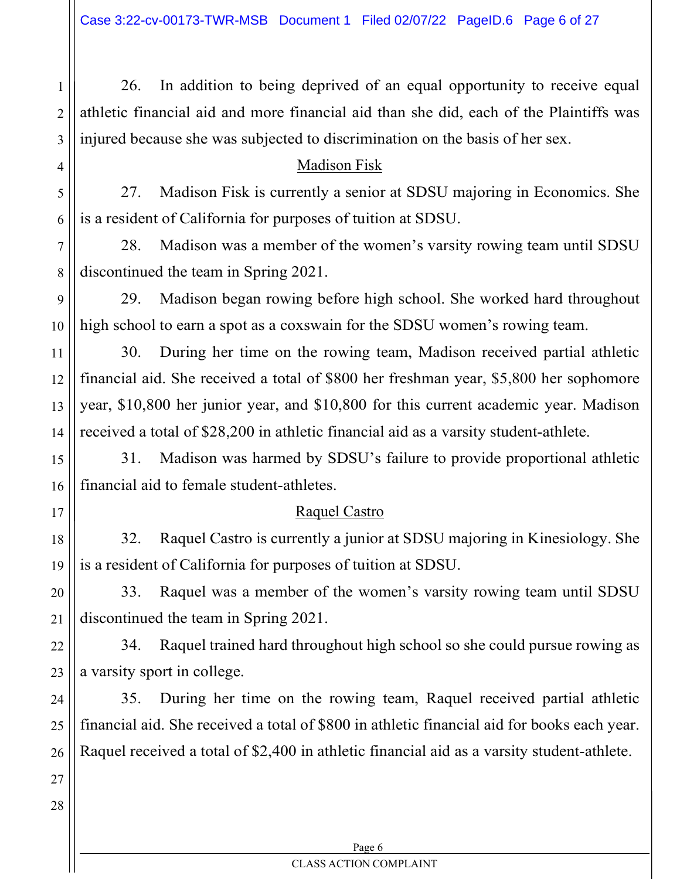26. In addition to being deprived of an equal opportunity to receive equal athletic financial aid and more financial aid than she did, each of the Plaintiffs was injured because she was subjected to discrimination on the basis of her sex.

#### Madison Fisk

1

2

3

4

5

6

7

8

9

10

11

12

13

14

15

16

17

18

19

20

21

22

23

24

25

26

27

28

27. Madison Fisk is currently a senior at SDSU majoring in Economics. She is a resident of California for purposes of tuition at SDSU.

28. Madison was a member of the women's varsity rowing team until SDSU discontinued the team in Spring 2021.

29. Madison began rowing before high school. She worked hard throughout high school to earn a spot as a coxswain for the SDSU women's rowing team.

30. During her time on the rowing team, Madison received partial athletic financial aid. She received a total of \$800 her freshman year, \$5,800 her sophomore year, \$10,800 her junior year, and \$10,800 for this current academic year. Madison received a total of \$28,200 in athletic financial aid as a varsity student-athlete.

31. Madison was harmed by SDSU's failure to provide proportional athletic financial aid to female student-athletes.

## Raquel Castro

32. Raquel Castro is currently a junior at SDSU majoring in Kinesiology. She is a resident of California for purposes of tuition at SDSU.

33. Raquel was a member of the women's varsity rowing team until SDSU discontinued the team in Spring 2021.

34. Raquel trained hard throughout high school so she could pursue rowing as a varsity sport in college.

35. During her time on the rowing team, Raquel received partial athletic financial aid. She received a total of \$800 in athletic financial aid for books each year. Raquel received a total of \$2,400 in athletic financial aid as a varsity student-athlete.

> Page 6 CLASS ACTION COMPLAINT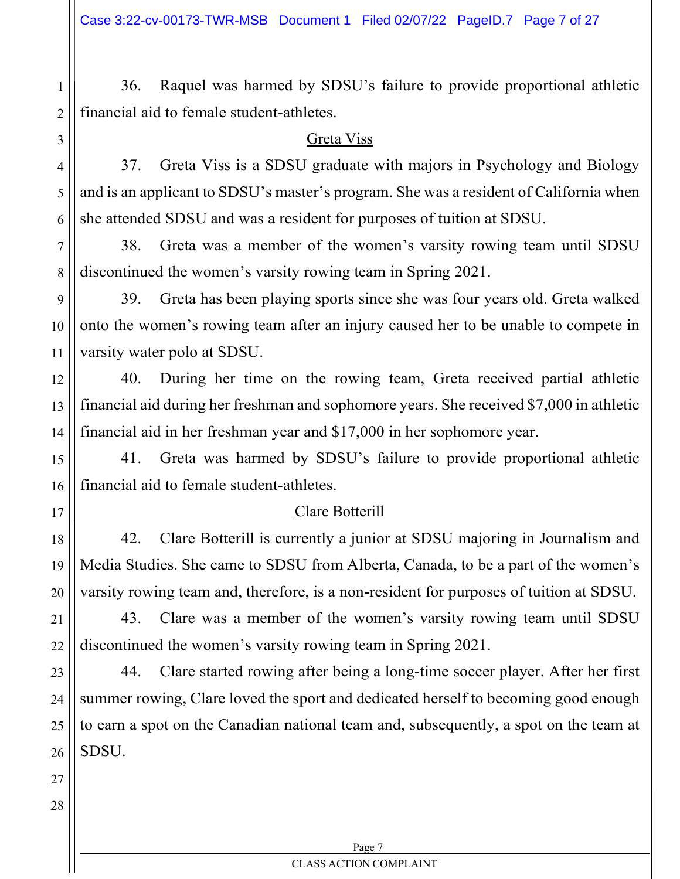36. Raquel was harmed by SDSU's failure to provide proportional athletic financial aid to female student-athletes.

#### Greta Viss

37. Greta Viss is a SDSU graduate with majors in Psychology and Biology and is an applicant to SDSU's master's program. She was a resident of California when she attended SDSU and was a resident for purposes of tuition at SDSU.

38. Greta was a member of the women's varsity rowing team until SDSU discontinued the women's varsity rowing team in Spring 2021.

39. Greta has been playing sports since she was four years old. Greta walked onto the women's rowing team after an injury caused her to be unable to compete in varsity water polo at SDSU.

40. During her time on the rowing team, Greta received partial athletic financial aid during her freshman and sophomore years. She received \$7,000 in athletic financial aid in her freshman year and \$17,000 in her sophomore year.

41. Greta was harmed by SDSU's failure to provide proportional athletic financial aid to female student-athletes.

#### Clare Botterill

42. Clare Botterill is currently a junior at SDSU majoring in Journalism and Media Studies. She came to SDSU from Alberta, Canada, to be a part of the women's varsity rowing team and, therefore, is a non-resident for purposes of tuition at SDSU.

43. Clare was a member of the women's varsity rowing team until SDSU discontinued the women's varsity rowing team in Spring 2021.

23 44. Clare started rowing after being a long-time soccer player. After her first summer rowing, Clare loved the sport and dedicated herself to becoming good enough to earn a spot on the Canadian national team and, subsequently, a spot on the team at SDSU.

28

1

2

3

4

5

6

7

8

9

10

11

12

13

14

15

16

17

18

19

20

21

22

Page 7 CLASS ACTION COMPLAINT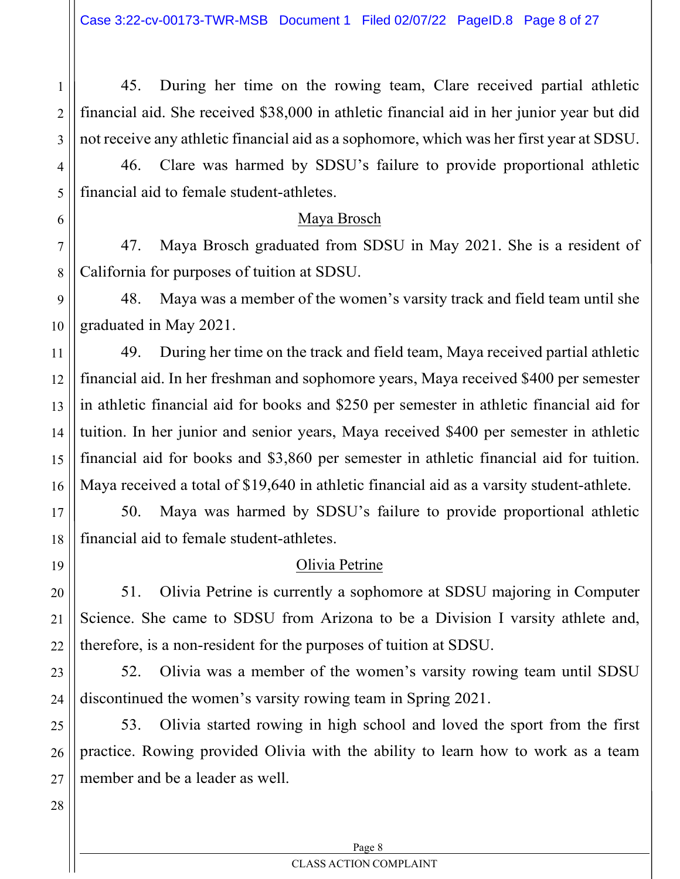45. During her time on the rowing team, Clare received partial athletic financial aid. She received \$38,000 in athletic financial aid in her junior year but did not receive any athletic financial aid as a sophomore, which was her first year at SDSU.

46. Clare was harmed by SDSU's failure to provide proportional athletic financial aid to female student-athletes.

#### Maya Brosch

47. Maya Brosch graduated from SDSU in May 2021. She is a resident of California for purposes of tuition at SDSU.

48. Maya was a member of the women's varsity track and field team until she graduated in May 2021.

49. During her time on the track and field team, Maya received partial athletic financial aid. In her freshman and sophomore years, Maya received \$400 per semester in athletic financial aid for books and \$250 per semester in athletic financial aid for tuition. In her junior and senior years, Maya received \$400 per semester in athletic financial aid for books and \$3,860 per semester in athletic financial aid for tuition. Maya received a total of \$19,640 in athletic financial aid as a varsity student-athlete.

50. Maya was harmed by SDSU's failure to provide proportional athletic financial aid to female student-athletes.

## Olivia Petrine

51. Olivia Petrine is currently a sophomore at SDSU majoring in Computer Science. She came to SDSU from Arizona to be a Division I varsity athlete and, therefore, is a non-resident for the purposes of tuition at SDSU.

52. Olivia was a member of the women's varsity rowing team until SDSU discontinued the women's varsity rowing team in Spring 2021.

53. Olivia started rowing in high school and loved the sport from the first practice. Rowing provided Olivia with the ability to learn how to work as a team member and be a leader as well.

28

1

2

3

4

5

6

7

8

9

10

11

12

13

14

15

16

17

18

19

20

21

22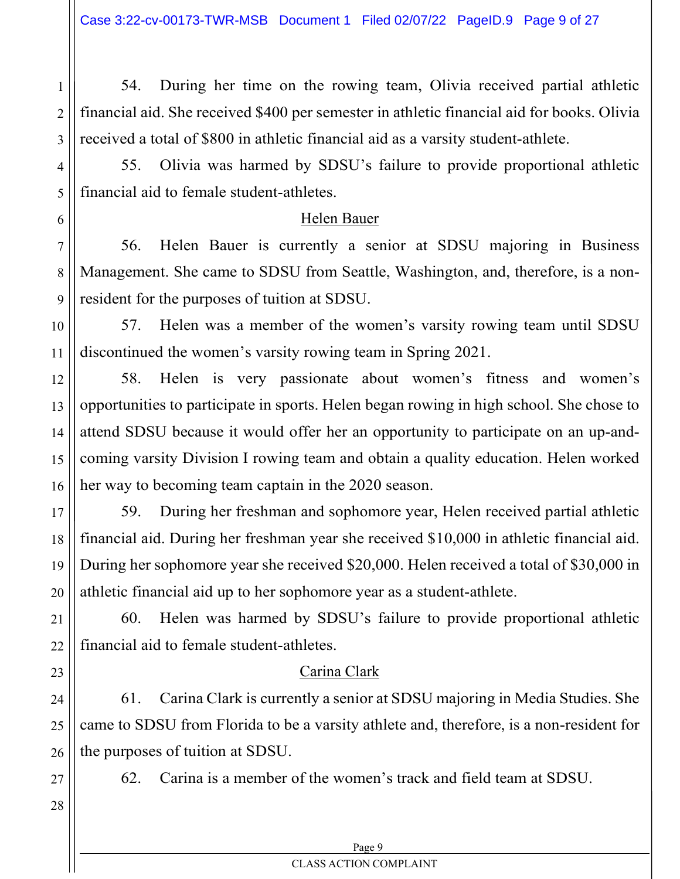54. During her time on the rowing team, Olivia received partial athletic financial aid. She received \$400 per semester in athletic financial aid for books. Olivia received a total of \$800 in athletic financial aid as a varsity student-athlete.

55. Olivia was harmed by SDSU's failure to provide proportional athletic financial aid to female student-athletes.

## Helen Bauer

56. Helen Bauer is currently a senior at SDSU majoring in Business Management. She came to SDSU from Seattle, Washington, and, therefore, is a nonresident for the purposes of tuition at SDSU.

57. Helen was a member of the women's varsity rowing team until SDSU discontinued the women's varsity rowing team in Spring 2021.

58. Helen is very passionate about women's fitness and women's opportunities to participate in sports. Helen began rowing in high school. She chose to attend SDSU because it would offer her an opportunity to participate on an up-andcoming varsity Division I rowing team and obtain a quality education. Helen worked her way to becoming team captain in the 2020 season.

59. During her freshman and sophomore year, Helen received partial athletic financial aid. During her freshman year she received \$10,000 in athletic financial aid. During her sophomore year she received \$20,000. Helen received a total of \$30,000 in athletic financial aid up to her sophomore year as a student-athlete.

60. Helen was harmed by SDSU's failure to provide proportional athletic financial aid to female student-athletes.

# Carina Clark

61. Carina Clark is currently a senior at SDSU majoring in Media Studies. She came to SDSU from Florida to be a varsity athlete and, therefore, is a non-resident for the purposes of tuition at SDSU.

62. Carina is a member of the women's track and field team at SDSU.

1

2

3

4

5

6

7

8

9

10

11

12

13

14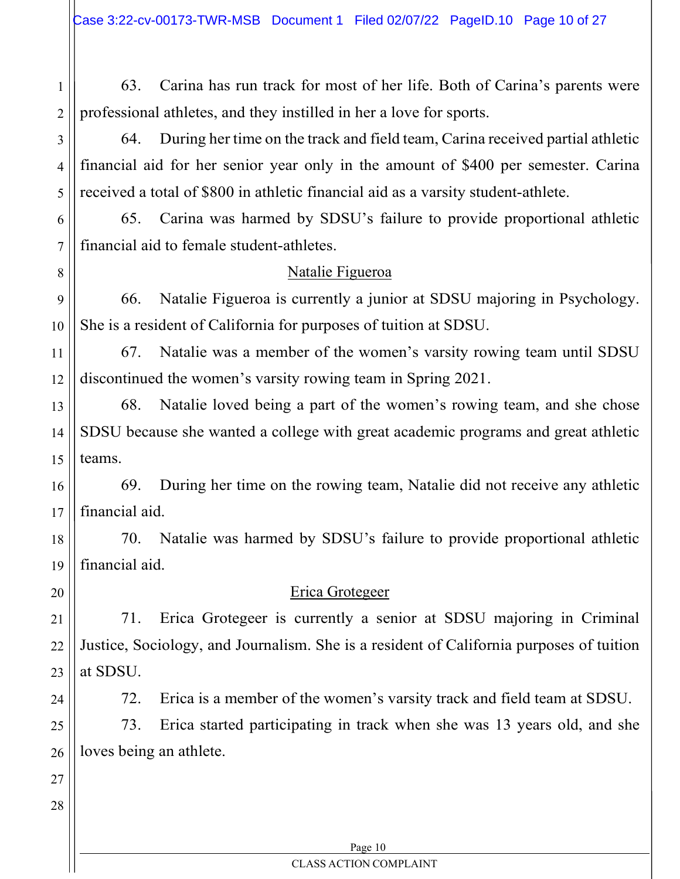63. Carina has run track for most of her life. Both of Carina's parents were professional athletes, and they instilled in her a love for sports.

64. During her time on the track and field team, Carina received partial athletic financial aid for her senior year only in the amount of \$400 per semester. Carina received a total of \$800 in athletic financial aid as a varsity student-athlete.

65. Carina was harmed by SDSU's failure to provide proportional athletic financial aid to female student-athletes.

## Natalie Figueroa

66. Natalie Figueroa is currently a junior at SDSU majoring in Psychology. She is a resident of California for purposes of tuition at SDSU.

67. Natalie was a member of the women's varsity rowing team until SDSU discontinued the women's varsity rowing team in Spring 2021.

68. Natalie loved being a part of the women's rowing team, and she chose SDSU because she wanted a college with great academic programs and great athletic teams.

16 17 69. During her time on the rowing team, Natalie did not receive any athletic financial aid.

18 19 70. Natalie was harmed by SDSU's failure to provide proportional athletic financial aid.

20

21

22

23

24

25

26

1

2

3

4

5

6

7

8

9

10

11

12

13

14

15

## Erica Grotegeer

71. Erica Grotegeer is currently a senior at SDSU majoring in Criminal Justice, Sociology, and Journalism. She is a resident of California purposes of tuition at SDSU.

72. Erica is a member of the women's varsity track and field team at SDSU.

73. Erica started participating in track when she was 13 years old, and she loves being an athlete.

27 28

#### Page 10 CLASS ACTION COMPLAINT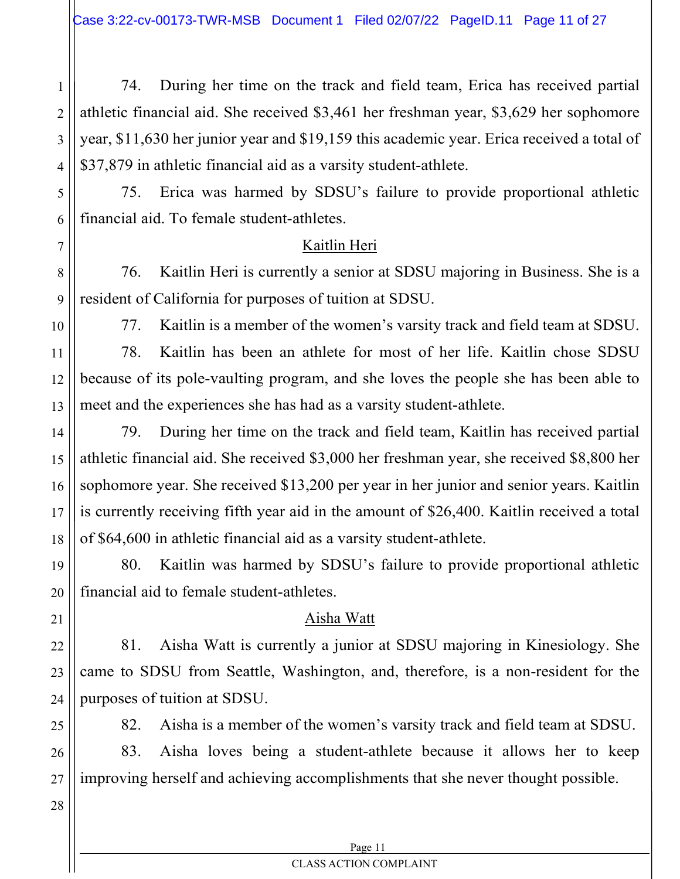74. During her time on the track and field team, Erica has received partial athletic financial aid. She received \$3,461 her freshman year, \$3,629 her sophomore year, \$11,630 her junior year and \$19,159 this academic year. Erica received a total of \$37,879 in athletic financial aid as a varsity student-athlete.

75. Erica was harmed by SDSU's failure to provide proportional athletic financial aid. To female student-athletes.

# Kaitlin Heri

76. Kaitlin Heri is currently a senior at SDSU majoring in Business. She is a resident of California for purposes of tuition at SDSU.

1

2

3

4

5

6

7

8

9

10

11

12

13

14

15

16

17

18

19

20

21

22

23

24

25

26

27

77. Kaitlin is a member of the women's varsity track and field team at SDSU.

78. Kaitlin has been an athlete for most of her life. Kaitlin chose SDSU because of its pole-vaulting program, and she loves the people she has been able to meet and the experiences she has had as a varsity student-athlete.

79. During her time on the track and field team, Kaitlin has received partial athletic financial aid. She received \$3,000 her freshman year, she received \$8,800 her sophomore year. She received \$13,200 per year in her junior and senior years. Kaitlin is currently receiving fifth year aid in the amount of \$26,400. Kaitlin received a total of \$64,600 in athletic financial aid as a varsity student-athlete.

80. Kaitlin was harmed by SDSU's failure to provide proportional athletic financial aid to female student-athletes.

# Aisha Watt

81. Aisha Watt is currently a junior at SDSU majoring in Kinesiology. She came to SDSU from Seattle, Washington, and, therefore, is a non-resident for the purposes of tuition at SDSU.

82. Aisha is a member of the women's varsity track and field team at SDSU.

83. Aisha loves being a student-athlete because it allows her to keep improving herself and achieving accomplishments that she never thought possible.

28

Page 11 CLASS ACTION COMPLAINT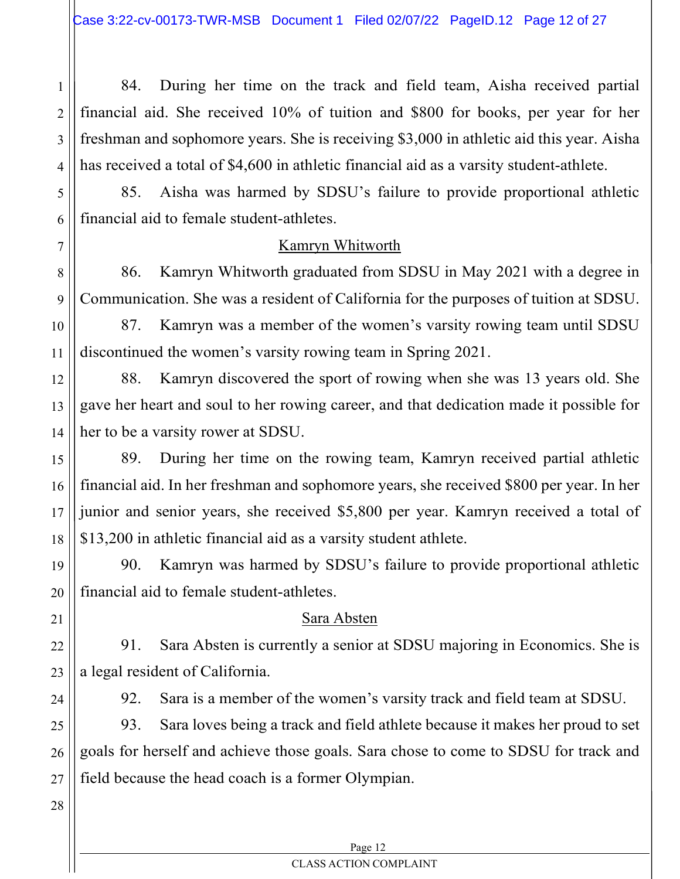84. During her time on the track and field team, Aisha received partial financial aid. She received 10% of tuition and \$800 for books, per year for her freshman and sophomore years. She is receiving \$3,000 in athletic aid this year. Aisha has received a total of \$4,600 in athletic financial aid as a varsity student-athlete.

85. Aisha was harmed by SDSU's failure to provide proportional athletic financial aid to female student-athletes.

## Kamryn Whitworth

86. Kamryn Whitworth graduated from SDSU in May 2021 with a degree in Communication. She was a resident of California for the purposes of tuition at SDSU.

87. Kamryn was a member of the women's varsity rowing team until SDSU discontinued the women's varsity rowing team in Spring 2021.

88. Kamryn discovered the sport of rowing when she was 13 years old. She gave her heart and soul to her rowing career, and that dedication made it possible for her to be a varsity rower at SDSU.

89. During her time on the rowing team, Kamryn received partial athletic financial aid. In her freshman and sophomore years, she received \$800 per year. In her junior and senior years, she received \$5,800 per year. Kamryn received a total of \$13,200 in athletic financial aid as a varsity student athlete.

90. Kamryn was harmed by SDSU's failure to provide proportional athletic financial aid to female student-athletes.

## Sara Absten

91. Sara Absten is currently a senior at SDSU majoring in Economics. She is a legal resident of California.

92. Sara is a member of the women's varsity track and field team at SDSU.

93. Sara loves being a track and field athlete because it makes her proud to set goals for herself and achieve those goals. Sara chose to come to SDSU for track and field because the head coach is a former Olympian.

1

2

3

4

5

6

7

8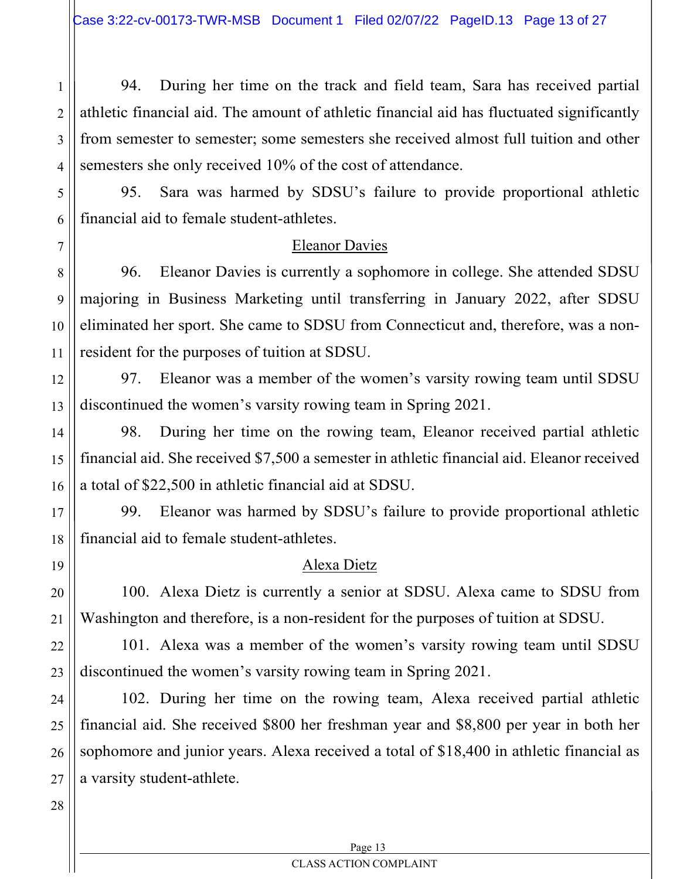94. During her time on the track and field team, Sara has received partial athletic financial aid. The amount of athletic financial aid has fluctuated significantly from semester to semester; some semesters she received almost full tuition and other semesters she only received 10% of the cost of attendance.

95. Sara was harmed by SDSU's failure to provide proportional athletic financial aid to female student-athletes.

#### Eleanor Davies

96. Eleanor Davies is currently a sophomore in college. She attended SDSU majoring in Business Marketing until transferring in January 2022, after SDSU eliminated her sport. She came to SDSU from Connecticut and, therefore, was a nonresident for the purposes of tuition at SDSU.

97. Eleanor was a member of the women's varsity rowing team until SDSU discontinued the women's varsity rowing team in Spring 2021.

98. During her time on the rowing team, Eleanor received partial athletic financial aid. She received \$7,500 a semester in athletic financial aid. Eleanor received a total of \$22,500 in athletic financial aid at SDSU.

99. Eleanor was harmed by SDSU's failure to provide proportional athletic financial aid to female student-athletes.

## Alexa Dietz

100. Alexa Dietz is currently a senior at SDSU. Alexa came to SDSU from Washington and therefore, is a non-resident for the purposes of tuition at SDSU.

101. Alexa was a member of the women's varsity rowing team until SDSU discontinued the women's varsity rowing team in Spring 2021.

102. During her time on the rowing team, Alexa received partial athletic financial aid. She received \$800 her freshman year and \$8,800 per year in both her sophomore and junior years. Alexa received a total of \$18,400 in athletic financial as a varsity student-athlete.

1

2

3

4

5

6

7

8

9

10

11

12

13

14

15

16

17

18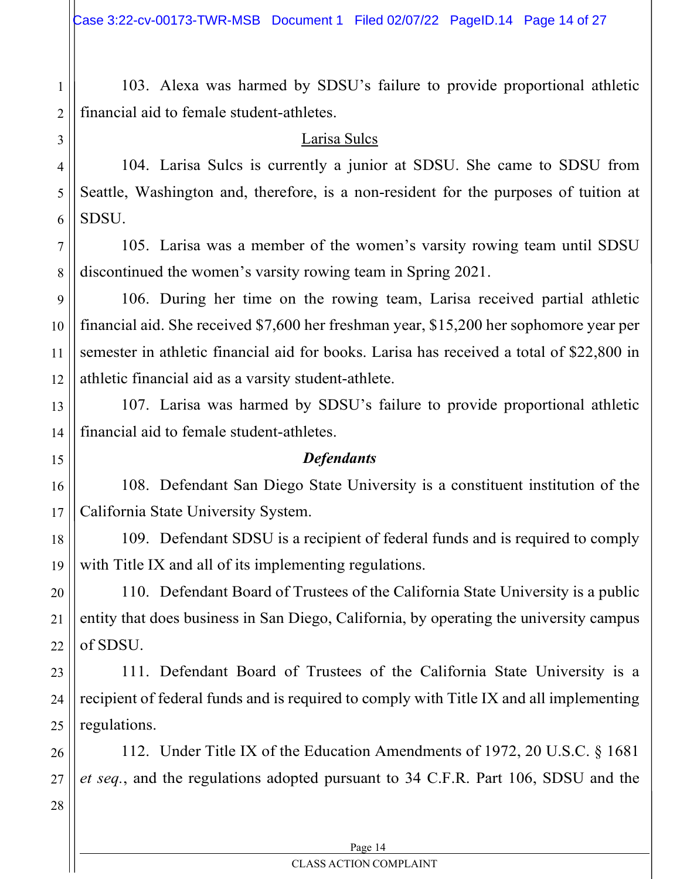103. Alexa was harmed by SDSU's failure to provide proportional athletic financial aid to female student-athletes.

#### Larisa Sulcs

104. Larisa Sulcs is currently a junior at SDSU. She came to SDSU from Seattle, Washington and, therefore, is a non-resident for the purposes of tuition at SDSU.

105. Larisa was a member of the women's varsity rowing team until SDSU discontinued the women's varsity rowing team in Spring 2021.

106. During her time on the rowing team, Larisa received partial athletic financial aid. She received \$7,600 her freshman year, \$15,200 her sophomore year per semester in athletic financial aid for books. Larisa has received a total of \$22,800 in athletic financial aid as a varsity student-athlete.

107. Larisa was harmed by SDSU's failure to provide proportional athletic financial aid to female student-athletes.

## **Defendants**

108. Defendant San Diego State University is a constituent institution of the California State University System.

109. Defendant SDSU is a recipient of federal funds and is required to comply with Title IX and all of its implementing regulations.

110. Defendant Board of Trustees of the California State University is a public entity that does business in San Diego, California, by operating the university campus of SDSU.

23 24 25 111. Defendant Board of Trustees of the California State University is a recipient of federal funds and is required to comply with Title IX and all implementing regulations.

112. Under Title IX of the Education Amendments of 1972, 20 U.S.C. § 1681 et seq., and the regulations adopted pursuant to 34 C.F.R. Part 106, SDSU and the

27 28

26

1

2

3

4

5

6

7

8

9

10

11

12

13

14

15

16

17

18

19

20

21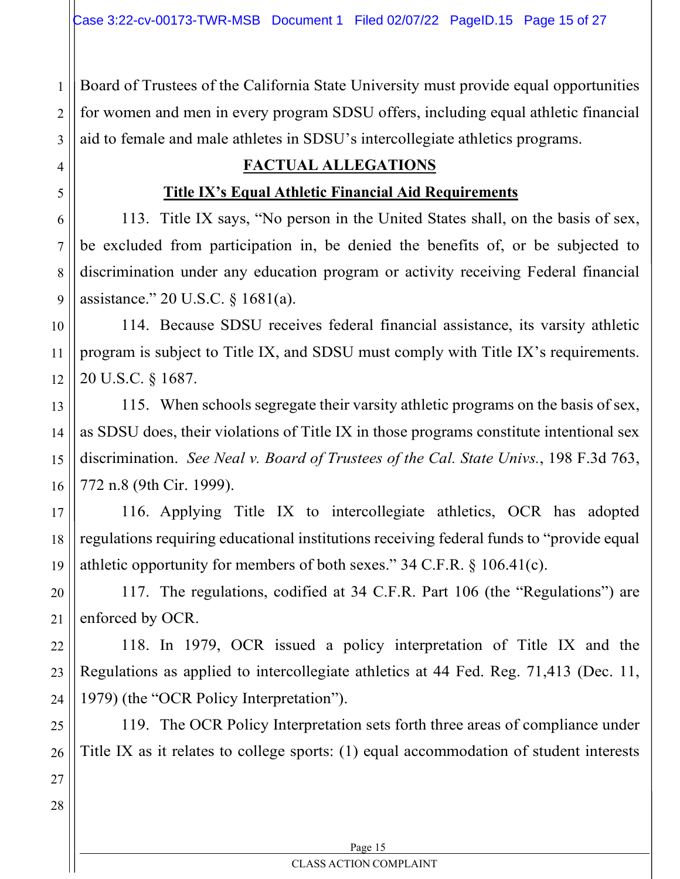Board of Trustees of the California State University must provide equal opportunities for women and men in every program SDSU offers, including equal athletic financial aid to female and male athletes in SDSU's intercollegiate athletics programs.

# FACTUAL ALLEGATIONS

# Title IX's Equal Athletic Financial Aid Requirements

113. Title IX says, "No person in the United States shall, on the basis of sex, be excluded from participation in, be denied the benefits of, or be subjected to discrimination under any education program or activity receiving Federal financial assistance." 20 U.S.C. § 1681(a).

114. Because SDSU receives federal financial assistance, its varsity athletic program is subject to Title IX, and SDSU must comply with Title IX's requirements. 20 U.S.C. § 1687.

115. When schools segregate their varsity athletic programs on the basis of sex, as SDSU does, their violations of Title IX in those programs constitute intentional sex discrimination. See Neal v. Board of Trustees of the Cal. State Univs., 198 F.3d 763, 772 n.8 (9th Cir. 1999).

116. Applying Title IX to intercollegiate athletics, OCR has adopted regulations requiring educational institutions receiving federal funds to "provide equal athletic opportunity for members of both sexes." 34 C.F.R. § 106.41(c).

117. The regulations, codified at 34 C.F.R. Part 106 (the "Regulations") are enforced by OCR.

118. In 1979, OCR issued a policy interpretation of Title IX and the Regulations as applied to intercollegiate athletics at 44 Fed. Reg. 71,413 (Dec. 11, 1979) (the "OCR Policy Interpretation").

119. The OCR Policy Interpretation sets forth three areas of compliance under Title IX as it relates to college sports: (1) equal accommodation of student interests

1

2

3

4

5

6

7

8

9

10

#### Page 15 CLASS ACTION COMPLAINT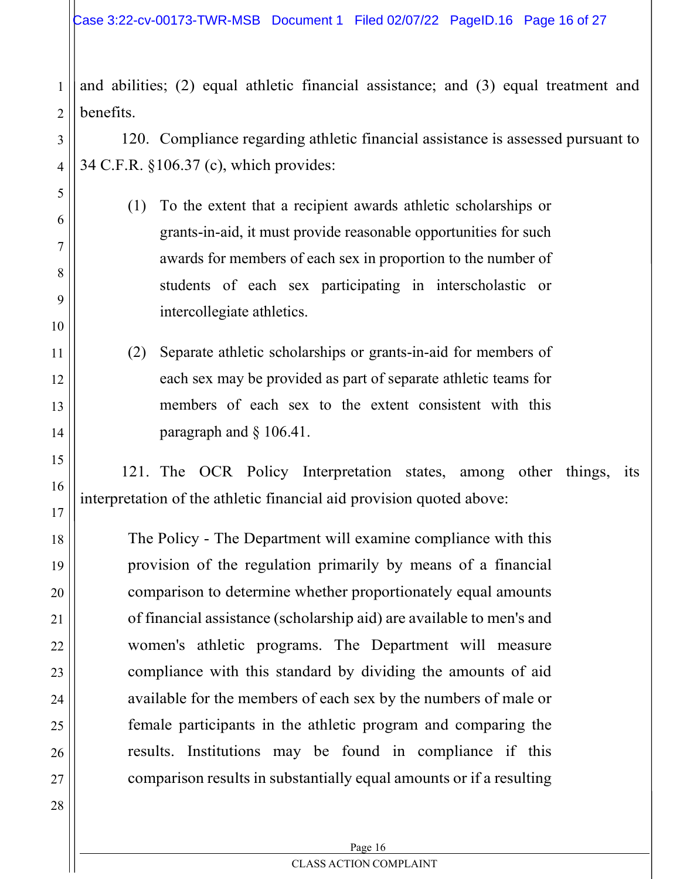and abilities; (2) equal athletic financial assistance; and (3) equal treatment and benefits.

120. Compliance regarding athletic financial assistance is assessed pursuant to 34 C.F.R. §106.37 (c), which provides:

- (1) To the extent that a recipient awards athletic scholarships or grants-in-aid, it must provide reasonable opportunities for such awards for members of each sex in proportion to the number of students of each sex participating in interscholastic or intercollegiate athletics.
- (2) Separate athletic scholarships or grants-in-aid for members of each sex may be provided as part of separate athletic teams for members of each sex to the extent consistent with this paragraph and § 106.41.

121. The OCR Policy Interpretation states, among other things, its interpretation of the athletic financial aid provision quoted above:

The Policy - The Department will examine compliance with this provision of the regulation primarily by means of a financial comparison to determine whether proportionately equal amounts of financial assistance (scholarship aid) are available to men's and women's athletic programs. The Department will measure compliance with this standard by dividing the amounts of aid available for the members of each sex by the numbers of male or female participants in the athletic program and comparing the results. Institutions may be found in compliance if this comparison results in substantially equal amounts or if a resulting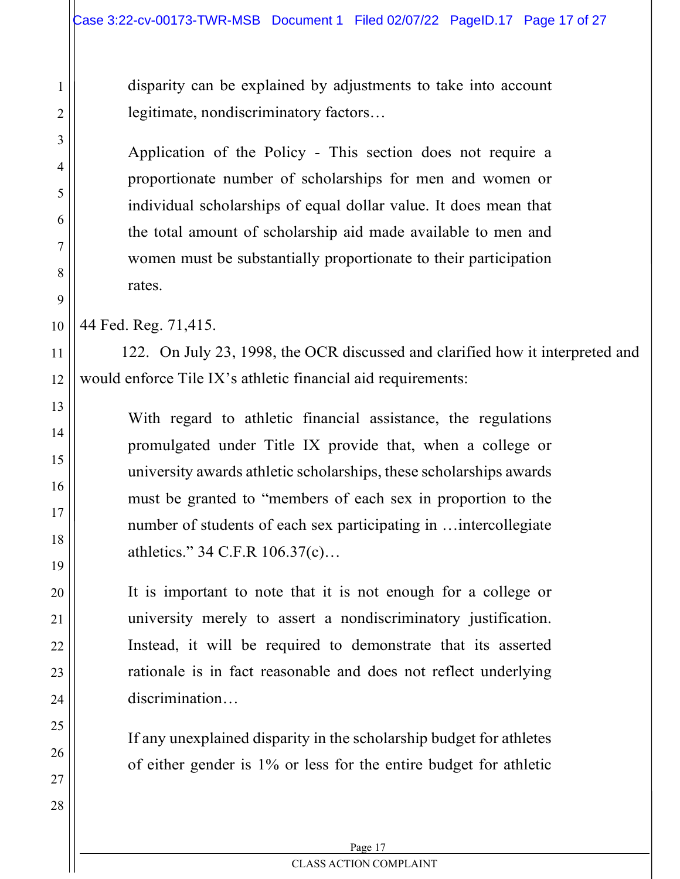disparity can be explained by adjustments to take into account legitimate, nondiscriminatory factors…

Application of the Policy - This section does not require a proportionate number of scholarships for men and women or individual scholarships of equal dollar value. It does mean that the total amount of scholarship aid made available to men and women must be substantially proportionate to their participation rates.

44 Fed. Reg. 71,415.

1

2

3

4

5

6

7

8

9

10

11

12

13

14

15

16

17

18

19

20

21

22

23

24

25

26

27

28

122. On July 23, 1998, the OCR discussed and clarified how it interpreted and would enforce Tile IX's athletic financial aid requirements:

With regard to athletic financial assistance, the regulations promulgated under Title IX provide that, when a college or university awards athletic scholarships, these scholarships awards must be granted to "members of each sex in proportion to the number of students of each sex participating in …intercollegiate athletics." 34 C.F.R 106.37(c)…

It is important to note that it is not enough for a college or university merely to assert a nondiscriminatory justification. Instead, it will be required to demonstrate that its asserted rationale is in fact reasonable and does not reflect underlying discrimination…

If any unexplained disparity in the scholarship budget for athletes of either gender is 1% or less for the entire budget for athletic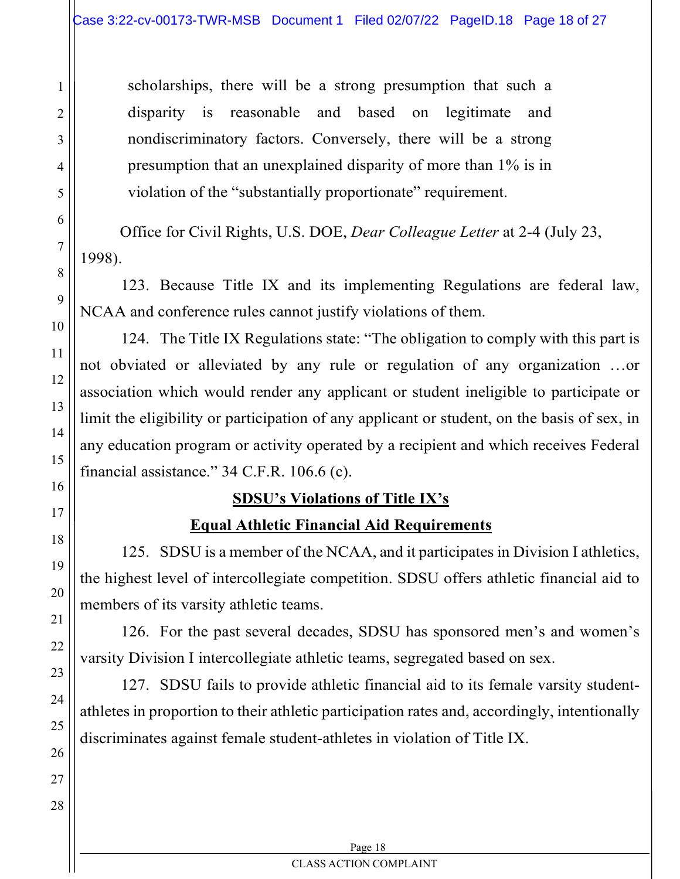scholarships, there will be a strong presumption that such a disparity is reasonable and based on legitimate and nondiscriminatory factors. Conversely, there will be a strong presumption that an unexplained disparity of more than 1% is in violation of the "substantially proportionate" requirement.

Office for Civil Rights, U.S. DOE, Dear Colleague Letter at 2-4 (July 23, 1998).

123. Because Title IX and its implementing Regulations are federal law, NCAA and conference rules cannot justify violations of them.

124. The Title IX Regulations state: "The obligation to comply with this part is not obviated or alleviated by any rule or regulation of any organization …or association which would render any applicant or student ineligible to participate or limit the eligibility or participation of any applicant or student, on the basis of sex, in any education program or activity operated by a recipient and which receives Federal financial assistance." 34 C.F.R. 106.6 (c).

## SDSU's Violations of Title IX's

## Equal Athletic Financial Aid Requirements

125. SDSU is a member of the NCAA, and it participates in Division I athletics, the highest level of intercollegiate competition. SDSU offers athletic financial aid to members of its varsity athletic teams.

126. For the past several decades, SDSU has sponsored men's and women's varsity Division I intercollegiate athletic teams, segregated based on sex.

127. SDSU fails to provide athletic financial aid to its female varsity studentathletes in proportion to their athletic participation rates and, accordingly, intentionally discriminates against female student-athletes in violation of Title IX.

> Page 18 CLASS ACTION COMPLAINT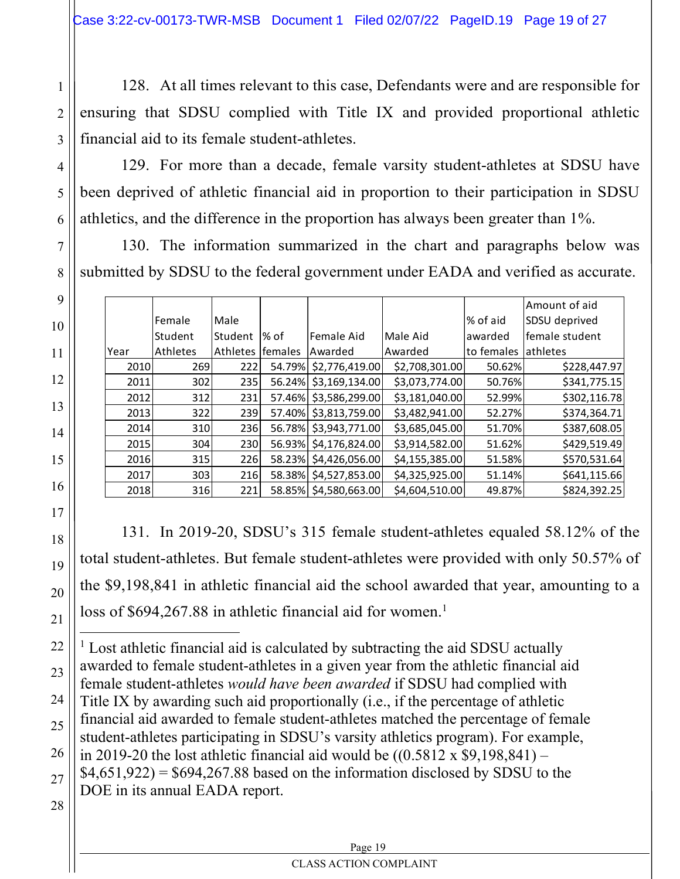128. At all times relevant to this case, Defendants were and are responsible for ensuring that SDSU complied with Title IX and provided proportional athletic financial aid to its female student-athletes.

|                                                                             |                                                                                                                                                          |                                              |               |                          |                       |                                      |                     | $120.$ At all three felevalit to this ease, Defendants were and are responsible for |
|-----------------------------------------------------------------------------|----------------------------------------------------------------------------------------------------------------------------------------------------------|----------------------------------------------|---------------|--------------------------|-----------------------|--------------------------------------|---------------------|-------------------------------------------------------------------------------------|
| nsuring that SDSU complied with Title IX and provided proportional athletic |                                                                                                                                                          |                                              |               |                          |                       |                                      |                     |                                                                                     |
|                                                                             |                                                                                                                                                          | inancial aid to its female student-athletes. |               |                          |                       |                                      |                     |                                                                                     |
|                                                                             |                                                                                                                                                          |                                              |               |                          |                       |                                      |                     | 129. For more than a decade, female varsity student-athletes at SDSU have           |
|                                                                             |                                                                                                                                                          |                                              |               |                          |                       |                                      |                     | een deprived of athletic financial aid in proportion to their participation in SDSU |
|                                                                             |                                                                                                                                                          |                                              |               |                          |                       |                                      |                     |                                                                                     |
|                                                                             | thletics, and the difference in the proportion has always been greater than 1%.<br>130. The information summarized in the chart and paragraphs below was |                                              |               |                          |                       |                                      |                     |                                                                                     |
|                                                                             |                                                                                                                                                          |                                              |               |                          |                       |                                      |                     |                                                                                     |
|                                                                             |                                                                                                                                                          |                                              |               |                          |                       |                                      |                     | ubmitted by SDSU to the federal government under EADA and verified as accurate.     |
|                                                                             |                                                                                                                                                          |                                              |               |                          |                       |                                      |                     | Amount of aid                                                                       |
|                                                                             |                                                                                                                                                          | Female                                       | Male          |                          |                       |                                      | % of aid            | SDSU deprived                                                                       |
|                                                                             |                                                                                                                                                          | Student                                      | Student  % of |                          | Female Aid            | Male Aid                             | awarded             | female student                                                                      |
|                                                                             | Year                                                                                                                                                     | Athletes                                     |               | Athletes females Awarded |                       | Awarded                              | to females athletes |                                                                                     |
|                                                                             | 2010                                                                                                                                                     | 269                                          | 222           |                          |                       | 54.79% \$2,776,419.00 \$2,708,301.00 | 50.62%              | \$228,447.97                                                                        |
|                                                                             | 2011                                                                                                                                                     | 302                                          | 235           |                          |                       | 56.24% \$3,169,134.00 \$3,073,774.00 | 50.76%              | \$341,775.15                                                                        |
|                                                                             | 2012                                                                                                                                                     | 312                                          | 231           |                          |                       | 57.46% \$3,586,299.00 \$3,181,040.00 | 52.99%              | \$302,116.78                                                                        |
|                                                                             | 2013                                                                                                                                                     | 322                                          | 239           |                          | 57.40% \$3,813,759.00 | \$3,482,941.00                       | 52.27%              | \$374,364.71                                                                        |
|                                                                             | 2014                                                                                                                                                     | 310                                          | 236           |                          |                       | 56.78% \$3,943,771.00 \$3,685,045.00 | 51.70%              | \$387,608.05                                                                        |
|                                                                             | 2015                                                                                                                                                     | 304                                          | 230           |                          |                       | 56.93% \$4,176,824.00 \$3,914,582.00 | 51.62%              | \$429,519.49                                                                        |
|                                                                             | 2016                                                                                                                                                     | 315                                          | 226           |                          | 58.23% \$4,426,056.00 | \$4,155,385.00                       | 51.58%              | \$570,531.64                                                                        |
|                                                                             | 2017                                                                                                                                                     | 303                                          | 216           |                          |                       | 58.38% \$4,527,853.00 \$4,325,925.00 | 51.14%              | \$641,115.66                                                                        |
|                                                                             | 2018                                                                                                                                                     | 316                                          | 221           |                          | 58.85% \$4,580,663.00 | \$4,604,510.00                       | 49.87%              | \$824,392.25                                                                        |

20

21

22

23

25

27

28

1

2

3

4

5

6

7

8

9

10

11

12

131. In 2019-20, SDSU's 315 female student-athletes equaled 58.12% of the total student-athletes. But female student-athletes were provided with only 50.57% of the \$9,198,841 in athletic financial aid the school awarded that year, amounting to a loss of  $$694,267.88$  in athletic financial aid for women.<sup>1</sup>

24 26 <sup>1</sup> Lost athletic financial aid is calculated by subtracting the aid SDSU actually awarded to female student-athletes in a given year from the athletic financial aid female student-athletes would have been awarded if SDSU had complied with Title IX by awarding such aid proportionally (i.e., if the percentage of athletic financial aid awarded to female student-athletes matched the percentage of female student-athletes participating in SDSU's varsity athletics program). For example, in 2019-20 the lost athletic financial aid would be  $((0.5812 \times $9,198,841) $4,651,922$  = \$694,267.88 based on the information disclosed by SDSU to the DOE in its annual EADA report.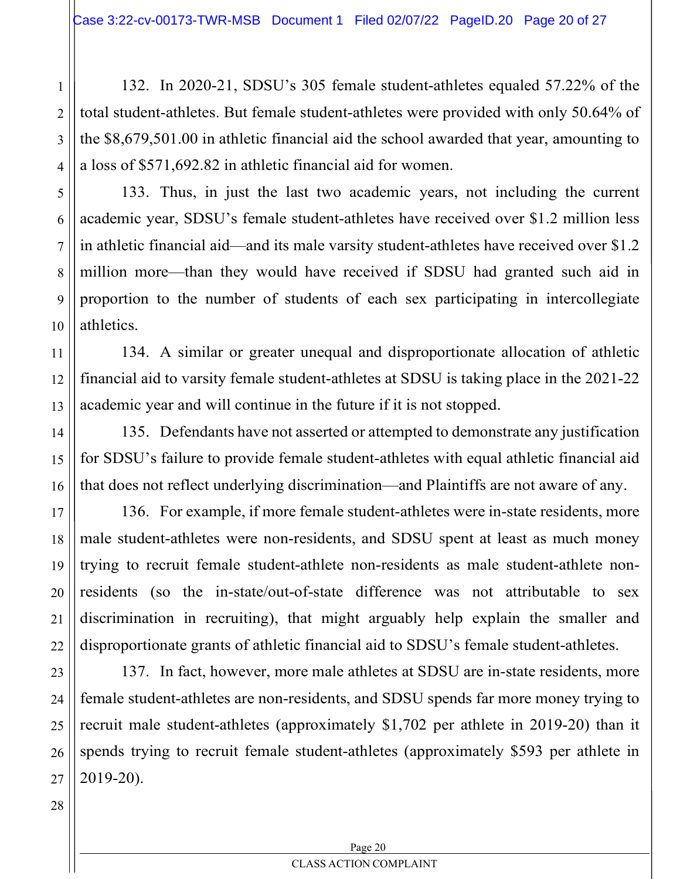132. In 2020-21, SDSU's 305 female student-athletes equaled 57.22% of the total student-athletes. But female student-athletes were provided with only 50.64% of the \$8,679,501.00 in athletic financial aid the school awarded that year, amounting to a loss of \$571,692.82 in athletic financial aid for women.

7

8

9

10

11

12

13

14

15

16

17

18

19

20

21

22

1

2

133. Thus, in just the last two academic years, not including the current academic year, SDSU's female student-athletes have received over \$1.2 million less in athletic financial aid—and its male varsity student-athletes have received over \$1.2 million more—than they would have received if SDSU had granted such aid in proportion to the number of students of each sex participating in intercollegiate athletics.

134. A similar or greater unequal and disproportionate allocation of athletic financial aid to varsity female student-athletes at SDSU is taking place in the 2021-22 academic year and will continue in the future if it is not stopped.

135. Defendants have not asserted or attempted to demonstrate any justification for SDSU's failure to provide female student-athletes with equal athletic financial aid that does not reflect underlying discrimination—and Plaintiffs are not aware of any.

136. For example, if more female student-athletes were in-state residents, more male student-athletes were non-residents, and SDSU spent at least as much money trying to recruit female student-athlete non-residents as male student-athlete nonresidents (so the in-state/out-of-state difference was not attributable to sex discrimination in recruiting), that might arguably help explain the smaller and disproportionate grants of athletic financial aid to SDSU's female student-athletes.

137. In fact, however, more male athletes at SDSU are in-state residents, more female student-athletes are non-residents, and SDSU spends far more money trying to recruit male student-athletes (approximately \$1,702 per athlete in 2019-20) than it spends trying to recruit female student-athletes (approximately \$593 per athlete in 2019-20).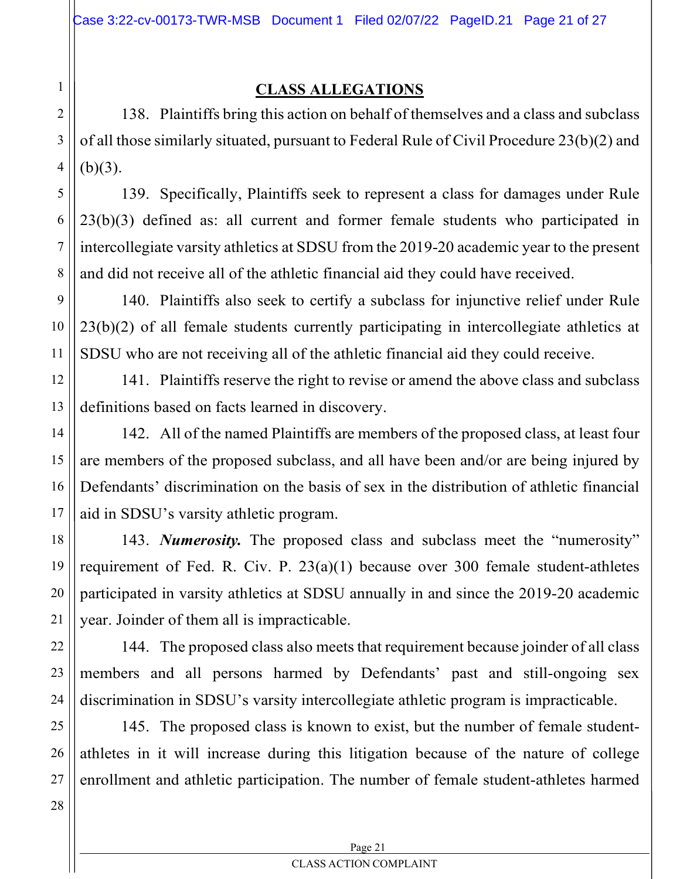# CLASS ALLEGATIONS

138. Plaintiffs bring this action on behalf of themselves and a class and subclass of all those similarly situated, pursuant to Federal Rule of Civil Procedure 23(b)(2) and  $(b)(3)$ .

139. Specifically, Plaintiffs seek to represent a class for damages under Rule 23(b)(3) defined as: all current and former female students who participated in intercollegiate varsity athletics at SDSU from the 2019-20 academic year to the present and did not receive all of the athletic financial aid they could have received.

140. Plaintiffs also seek to certify a subclass for injunctive relief under Rule 23(b)(2) of all female students currently participating in intercollegiate athletics at SDSU who are not receiving all of the athletic financial aid they could receive.

141. Plaintiffs reserve the right to revise or amend the above class and subclass definitions based on facts learned in discovery.

142. All of the named Plaintiffs are members of the proposed class, at least four are members of the proposed subclass, and all have been and/or are being injured by Defendants' discrimination on the basis of sex in the distribution of athletic financial aid in SDSU's varsity athletic program.

143. Numerosity. The proposed class and subclass meet the "numerosity" requirement of Fed. R. Civ. P. 23(a)(1) because over 300 female student-athletes participated in varsity athletics at SDSU annually in and since the 2019-20 academic year. Joinder of them all is impracticable.

144. The proposed class also meets that requirement because joinder of all class members and all persons harmed by Defendants' past and still-ongoing sex discrimination in SDSU's varsity intercollegiate athletic program is impracticable.

145. The proposed class is known to exist, but the number of female studentathletes in it will increase during this litigation because of the nature of college enrollment and athletic participation. The number of female student-athletes harmed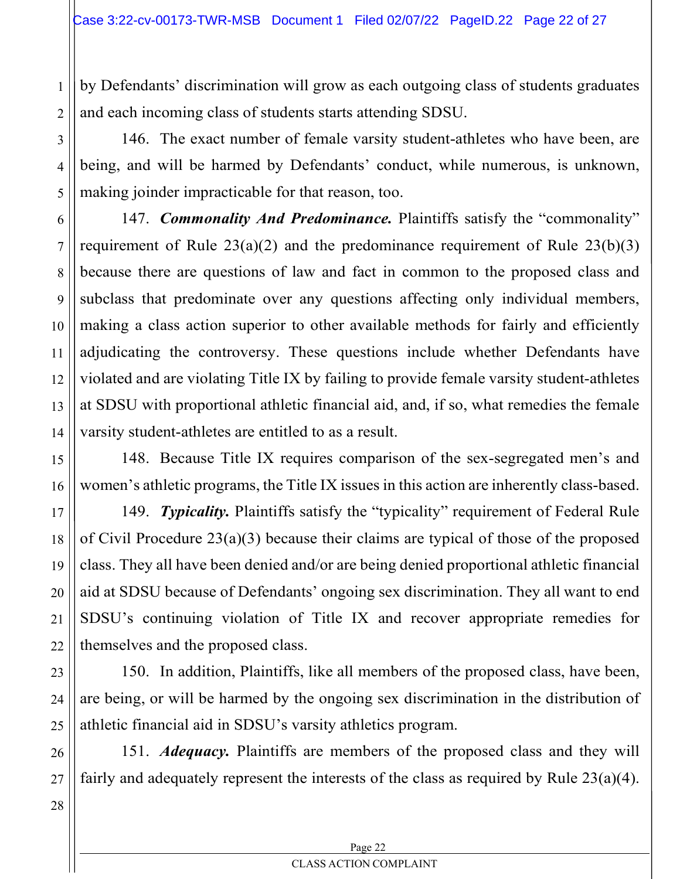by Defendants' discrimination will grow as each outgoing class of students graduates and each incoming class of students starts attending SDSU.

146. The exact number of female varsity student-athletes who have been, are being, and will be harmed by Defendants' conduct, while numerous, is unknown, making joinder impracticable for that reason, too.

147. Commonality And Predominance. Plaintiffs satisfy the "commonality" requirement of Rule  $23(a)(2)$  and the predominance requirement of Rule  $23(b)(3)$ because there are questions of law and fact in common to the proposed class and subclass that predominate over any questions affecting only individual members, making a class action superior to other available methods for fairly and efficiently adjudicating the controversy. These questions include whether Defendants have violated and are violating Title IX by failing to provide female varsity student-athletes at SDSU with proportional athletic financial aid, and, if so, what remedies the female varsity student-athletes are entitled to as a result.

148. Because Title IX requires comparison of the sex-segregated men's and women's athletic programs, the Title IX issues in this action are inherently class-based.

149. Typicality. Plaintiffs satisfy the "typicality" requirement of Federal Rule of Civil Procedure 23(a)(3) because their claims are typical of those of the proposed class. They all have been denied and/or are being denied proportional athletic financial aid at SDSU because of Defendants' ongoing sex discrimination. They all want to end SDSU's continuing violation of Title IX and recover appropriate remedies for themselves and the proposed class.

150. In addition, Plaintiffs, like all members of the proposed class, have been, are being, or will be harmed by the ongoing sex discrimination in the distribution of athletic financial aid in SDSU's varsity athletics program.

151. Adequacy. Plaintiffs are members of the proposed class and they will fairly and adequately represent the interests of the class as required by Rule 23(a)(4).

1

2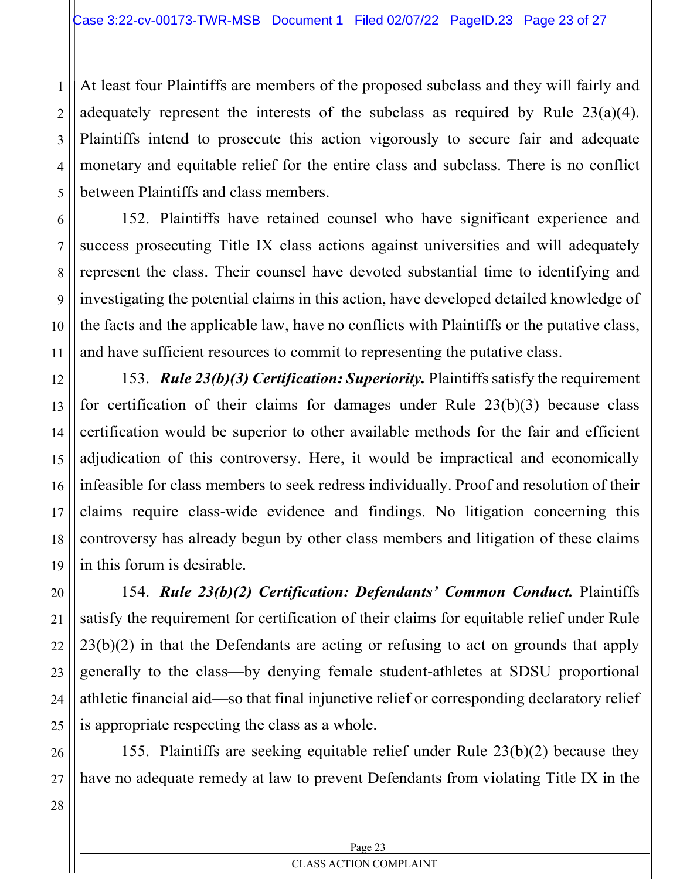At least four Plaintiffs are members of the proposed subclass and they will fairly and adequately represent the interests of the subclass as required by Rule 23(a)(4). Plaintiffs intend to prosecute this action vigorously to secure fair and adequate monetary and equitable relief for the entire class and subclass. There is no conflict between Plaintiffs and class members.

152. Plaintiffs have retained counsel who have significant experience and success prosecuting Title IX class actions against universities and will adequately represent the class. Their counsel have devoted substantial time to identifying and investigating the potential claims in this action, have developed detailed knowledge of the facts and the applicable law, have no conflicts with Plaintiffs or the putative class, and have sufficient resources to commit to representing the putative class.

153. Rule 23(b)(3) Certification: Superiority. Plaintiffs satisfy the requirement for certification of their claims for damages under Rule 23(b)(3) because class certification would be superior to other available methods for the fair and efficient adjudication of this controversy. Here, it would be impractical and economically infeasible for class members to seek redress individually. Proof and resolution of their claims require class-wide evidence and findings. No litigation concerning this controversy has already begun by other class members and litigation of these claims in this forum is desirable.

154. Rule 23(b)(2) Certification: Defendants' Common Conduct. Plaintiffs satisfy the requirement for certification of their claims for equitable relief under Rule  $23(b)(2)$  in that the Defendants are acting or refusing to act on grounds that apply generally to the class—by denying female student-athletes at SDSU proportional athletic financial aid—so that final injunctive relief or corresponding declaratory relief is appropriate respecting the class as a whole.

155. Plaintiffs are seeking equitable relief under Rule 23(b)(2) because they have no adequate remedy at law to prevent Defendants from violating Title IX in the

1

2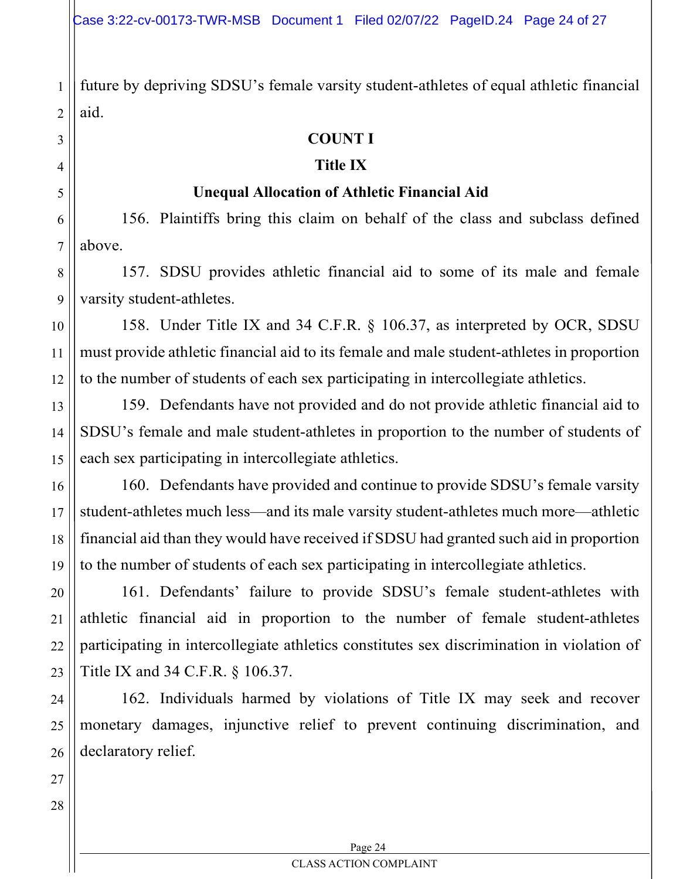future by depriving SDSU's female varsity student-athletes of equal athletic financial aid.

#### COUNT I

#### Title IX

#### Unequal Allocation of Athletic Financial Aid

6 7 156. Plaintiffs bring this claim on behalf of the class and subclass defined above.

157. SDSU provides athletic financial aid to some of its male and female varsity student-athletes.

158. Under Title IX and 34 C.F.R. § 106.37, as interpreted by OCR, SDSU must provide athletic financial aid to its female and male student-athletes in proportion to the number of students of each sex participating in intercollegiate athletics.

159. Defendants have not provided and do not provide athletic financial aid to SDSU's female and male student-athletes in proportion to the number of students of each sex participating in intercollegiate athletics.

160. Defendants have provided and continue to provide SDSU's female varsity student-athletes much less—and its male varsity student-athletes much more—athletic financial aid than they would have received if SDSU had granted such aid in proportion to the number of students of each sex participating in intercollegiate athletics.

161. Defendants' failure to provide SDSU's female student-athletes with athletic financial aid in proportion to the number of female student-athletes participating in intercollegiate athletics constitutes sex discrimination in violation of Title IX and 34 C.F.R. § 106.37.

162. Individuals harmed by violations of Title IX may seek and recover monetary damages, injunctive relief to prevent continuing discrimination, and declaratory relief.

1

2

3

4

5

8

9

10

11

12

13

14

15

16

17

18

19

20

21

22

23

24

25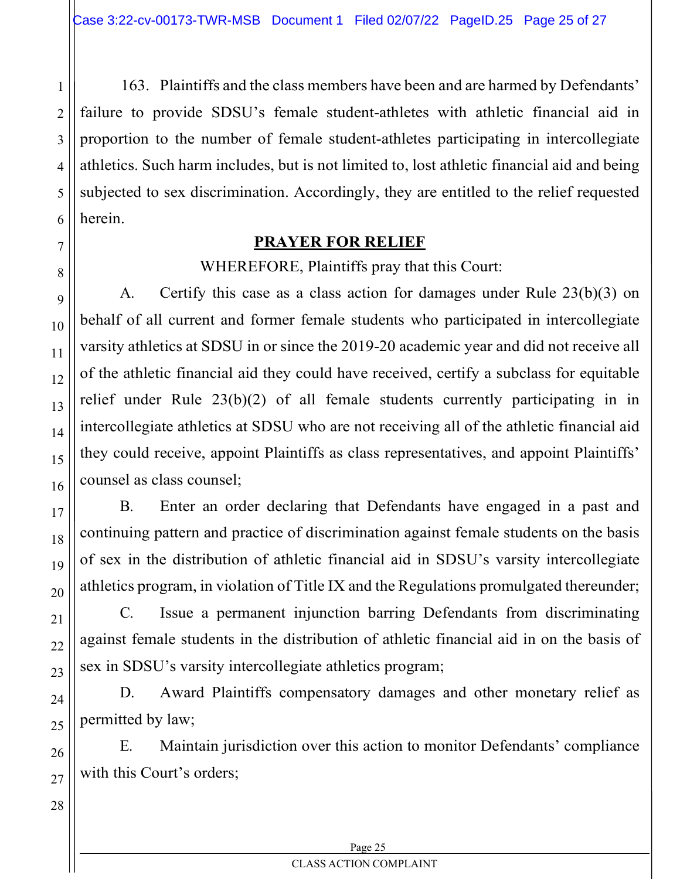163. Plaintiffs and the class members have been and are harmed by Defendants' failure to provide SDSU's female student-athletes with athletic financial aid in proportion to the number of female student-athletes participating in intercollegiate athletics. Such harm includes, but is not limited to, lost athletic financial aid and being subjected to sex discrimination. Accordingly, they are entitled to the relief requested herein.

# PRAYER FOR RELIEF

WHEREFORE, Plaintiffs pray that this Court:

A. Certify this case as a class action for damages under Rule 23(b)(3) on behalf of all current and former female students who participated in intercollegiate varsity athletics at SDSU in or since the 2019-20 academic year and did not receive all of the athletic financial aid they could have received, certify a subclass for equitable relief under Rule 23(b)(2) of all female students currently participating in in intercollegiate athletics at SDSU who are not receiving all of the athletic financial aid they could receive, appoint Plaintiffs as class representatives, and appoint Plaintiffs' counsel as class counsel;

B. Enter an order declaring that Defendants have engaged in a past and continuing pattern and practice of discrimination against female students on the basis of sex in the distribution of athletic financial aid in SDSU's varsity intercollegiate athletics program, in violation of Title IX and the Regulations promulgated thereunder;

C. Issue a permanent injunction barring Defendants from discriminating against female students in the distribution of athletic financial aid in on the basis of sex in SDSU's varsity intercollegiate athletics program;

D. Award Plaintiffs compensatory damages and other monetary relief as permitted by law;

E. Maintain jurisdiction over this action to monitor Defendants' compliance with this Court's orders;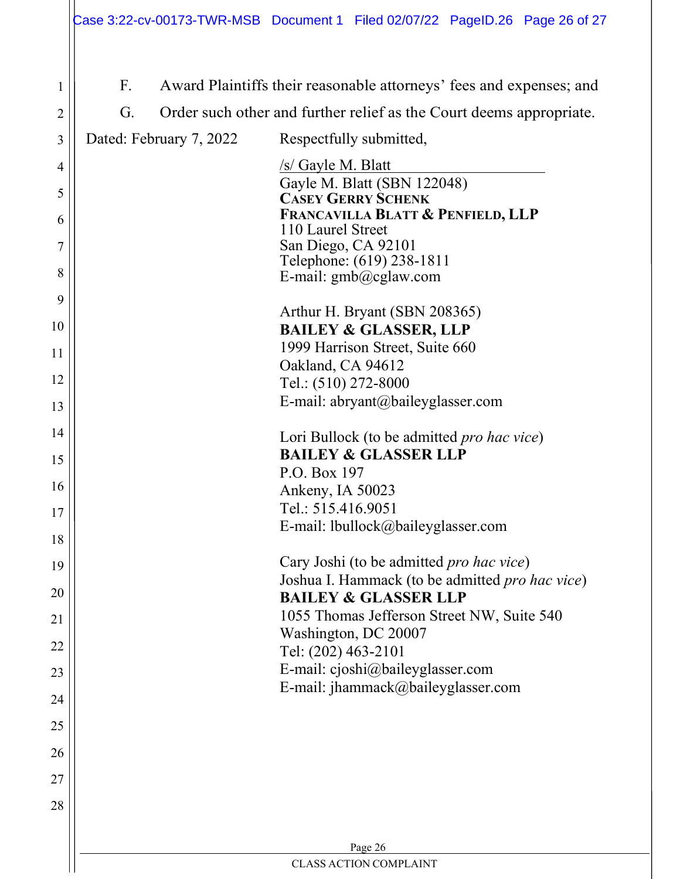| 1              | $F_{\cdot}$ |                         | Award Plaintiffs their reasonable attorneys' fees and expenses; and           |
|----------------|-------------|-------------------------|-------------------------------------------------------------------------------|
| $\overline{2}$ | G.          |                         | Order such other and further relief as the Court deems appropriate.           |
| 3              |             | Dated: February 7, 2022 | Respectfully submitted,                                                       |
| 4              |             |                         | $/s$ Gayle M. Blatt                                                           |
| 5              |             |                         | Gayle M. Blatt (SBN 122048)<br><b>CASEY GERRY SCHENK</b>                      |
| 6              |             |                         | <b>FRANCAVILLA BLATT &amp; PENFIELD, LLP</b>                                  |
| $\overline{7}$ |             |                         | 110 Laurel Street<br>San Diego, CA 92101                                      |
|                |             |                         | Telephone: (619) 238-1811                                                     |
| 8              |             |                         | E-mail: gmb@cglaw.com                                                         |
| 9              |             |                         | Arthur H. Bryant (SBN 208365)                                                 |
| 10             |             |                         | <b>BAILEY &amp; GLASSER, LLP</b>                                              |
| 11             |             |                         | 1999 Harrison Street, Suite 660                                               |
|                |             |                         | Oakland, CA 94612                                                             |
| 12             |             |                         | Tel.: (510) 272-8000                                                          |
| 13             |             |                         | E-mail: abryant@baileyglasser.com                                             |
| 14             |             |                         | Lori Bullock (to be admitted <i>pro hac vice</i> )                            |
| 15             |             |                         | <b>BAILEY &amp; GLASSER LLP</b>                                               |
|                |             |                         | P.O. Box 197                                                                  |
| 16             |             |                         | Ankeny, IA 50023                                                              |
| 17             |             |                         | Tel.: 515.416.9051                                                            |
| 18             |             |                         | E-mail: lbullock@baileyglasser.com                                            |
| 19             |             |                         | Cary Joshi (to be admitted pro hac vice)                                      |
| 20             |             |                         | Joshua I. Hammack (to be admitted pro hac vice)                               |
|                |             |                         | <b>BAILEY &amp; GLASSER LLP</b><br>1055 Thomas Jefferson Street NW, Suite 540 |
| 21             |             |                         | Washington, DC 20007                                                          |
| 22             |             |                         | Tel: (202) 463-2101                                                           |
| 23             |             |                         | E-mail: cjoshi@baileyglasser.com                                              |
| 24             |             |                         | E-mail: jhammack@baileyglasser.com                                            |
| 25             |             |                         |                                                                               |
| 26             |             |                         |                                                                               |
| 27             |             |                         |                                                                               |
| 28             |             |                         |                                                                               |
|                |             |                         |                                                                               |
|                |             |                         | Page 26                                                                       |
|                |             |                         | <b>CLASS ACTION COMPLAINT</b>                                                 |